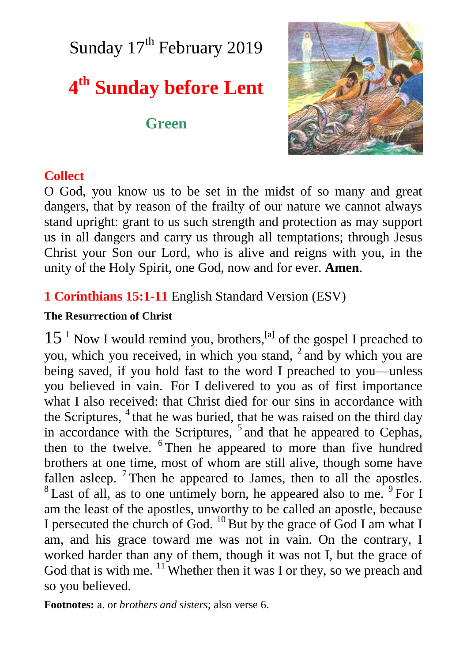Sunday  $17<sup>th</sup>$  February 2019

# **4 th Sunday before Lent**

## **Green**



## **Collect**

O God, you know us to be set in the midst of so many and great dangers, that by reason of the frailty of our nature we cannot always stand upright: grant to us such strength and protection as may support us in all dangers and carry us through all temptations; through Jesus Christ your Son our Lord, who is alive and reigns with you, in the unity of the Holy Spirit, one God, now and for ever. **Amen**.

## **1 Corinthians 15:1-11** English Standard Version (ESV)

### **The Resurrection of Christ**

 $15<sup>1</sup>$  Now I would remind you, brothers,<sup>[a]</sup> of the gospel I preached to you, which you received, in which you stand,  $2$  and by which you are being saved, if you hold fast to the word I preached to you—unless you believed in vain. For I delivered to you as of first importance what I also received: that Christ died for our sins in accordance with the Scriptures, <sup>4</sup> that he was buried, that he was raised on the third day in accordance with the Scriptures, <sup>5</sup> and that he appeared to Cephas, then to the twelve. <sup>6</sup> Then he appeared to more than five hundred brothers at one time, most of whom are still alive, though some have fallen asleep.  $7$ Then he appeared to James, then to all the apostles.  $8$  Last of all, as to one untimely born, he appeared also to me.  $9$  For I am the least of the apostles, unworthy to be called an apostle, because I persecuted the church of God.  $^{10}$  But by the grace of God I am what I am, and his grace toward me was not in vain. On the contrary, I worked harder than any of them, though it was not I, but the grace of God that is with me.  $\frac{11}{11}$  Whether then it was I or they, so we preach and so you believed.

**Footnotes:** a. or *brothers and sisters*; also verse 6.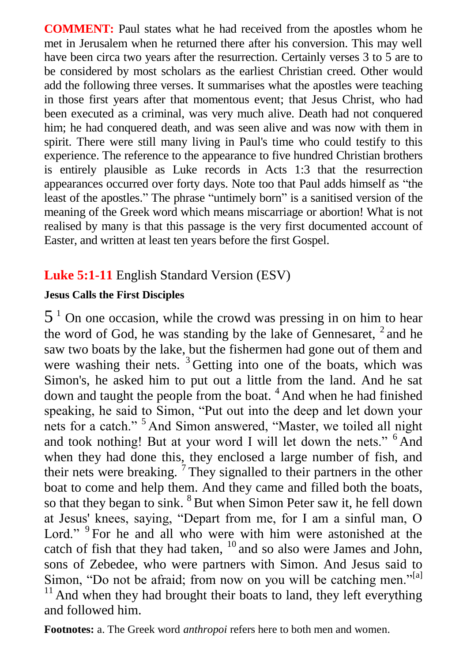**COMMENT:** Paul states what he had received from the apostles whom he met in Jerusalem when he returned there after his conversion. This may well have been circa two years after the resurrection. Certainly verses 3 to 5 are to be considered by most scholars as the earliest Christian creed. Other would add the following three verses. It summarises what the apostles were teaching in those first years after that momentous event; that Jesus Christ, who had been executed as a criminal, was very much alive. Death had not conquered him; he had conquered death, and was seen alive and was now with them in spirit. There were still many living in Paul's time who could testify to this experience. The reference to the appearance to five hundred Christian brothers is entirely plausible as Luke records in Acts 1:3 that the resurrection appearances occurred over forty days. Note too that Paul adds himself as "the least of the apostles." The phrase "untimely born" is a sanitised version of the meaning of the Greek word which means miscarriage or abortion! What is not realised by many is that this passage is the very first documented account of Easter, and written at least ten years before the first Gospel.

## **Luke 5:1-11** English Standard Version (ESV)

### **Jesus Calls the First Disciples**

 $5<sup>1</sup>$  On one occasion, while the crowd was pressing in on him to hear the word of God, he was standing by the lake of Gennesaret,  $2$  and he saw two boats by the lake, but the fishermen had gone out of them and were washing their nets. <sup>3</sup> Getting into one of the boats, which was Simon's, he asked him to put out a little from the land. And he sat down and taught the people from the boat.<sup>4</sup> And when he had finished speaking, he said to Simon, "Put out into the deep and let down your nets for a catch." <sup>5</sup> And Simon answered, "Master, we toiled all night and took nothing! But at your word I will let down the nets." <sup>6</sup> And when they had done this, they enclosed a large number of fish, and their nets were breaking.  $7$  They signalled to their partners in the other boat to come and help them. And they came and filled both the boats, so that they began to sink. <sup>8</sup> But when Simon Peter saw it, he fell down at Jesus' knees, saying, "Depart from me, for I am a sinful man, O Lord." <sup>9</sup> For he and all who were with him were astonished at the catch of fish that they had taken,  $10$  and so also were James and John, sons of Zebedee, who were partners with Simon. And Jesus said to Simon, "Do not be afraid; from now on you will be catching men."<sup>[a]</sup>  $11$  And when they had brought their boats to land, they left everything and followed him.

**Footnotes:** a. The Greek word *anthropoi* refers here to both men and women.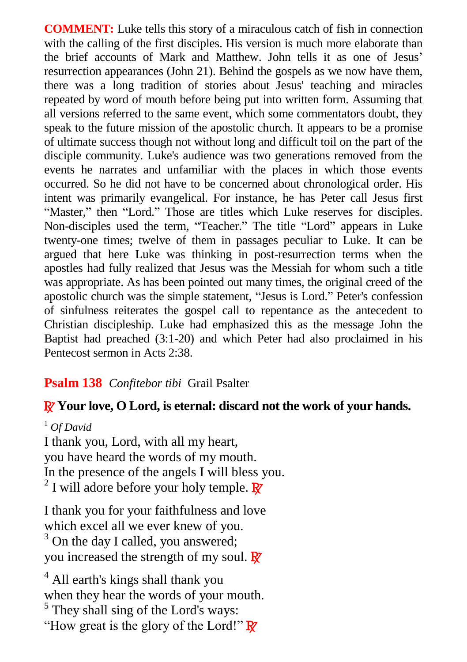**COMMENT:** Luke tells this story of a miraculous catch of fish in connection with the calling of the first disciples. His version is much more elaborate than the brief accounts of Mark and Matthew. John tells it as one of Jesus' resurrection appearances (John 21). Behind the gospels as we now have them, there was a long tradition of stories about Jesus' teaching and miracles repeated by word of mouth before being put into written form. Assuming that all versions referred to the same event, which some commentators doubt, they speak to the future mission of the apostolic church. It appears to be a promise of ultimate success though not without long and difficult toil on the part of the disciple community. Luke's audience was two generations removed from the events he narrates and unfamiliar with the places in which those events occurred. So he did not have to be concerned about chronological order. His intent was primarily evangelical. For instance, he has Peter call Jesus first "Master," then "Lord." Those are titles which Luke reserves for disciples. Non-disciples used the term, "Teacher." The title "Lord" appears in Luke twenty-one times; twelve of them in passages peculiar to Luke. It can be argued that here Luke was thinking in post-resurrection terms when the apostles had fully realized that Jesus was the Messiah for whom such a title was appropriate. As has been pointed out many times, the original creed of the apostolic church was the simple statement, "Jesus is Lord." Peter's confession of sinfulness reiterates the gospel call to repentance as the antecedent to Christian discipleship. Luke had emphasized this as the message John the Baptist had preached (3:1-20) and which Peter had also proclaimed in his Pentecost sermon in Acts 2:38.

### **Psalm 138** *Confitebor tibi* Grail Psalter

#### R **Your love, O Lord, is eternal: discard not the work of your hands.**

<sup>1</sup> *Of David* I thank you, Lord, with all my heart, you have heard the words of my mouth. In the presence of the angels I will bless you. <sup>2</sup> I will adore before your holy temple.  $\mathbb{R}$ 

I thank you for your faithfulness and love which excel all we ever knew of you.  $3$  On the day I called, you answered; you increased the strength of my soul.  $\mathbb{R}^7$ 

<sup>4</sup> All earth's kings shall thank you when they hear the words of your mouth. <sup>5</sup> They shall sing of the Lord's ways: "How great is the glory of the Lord!"  $\mathbb{R}^7$